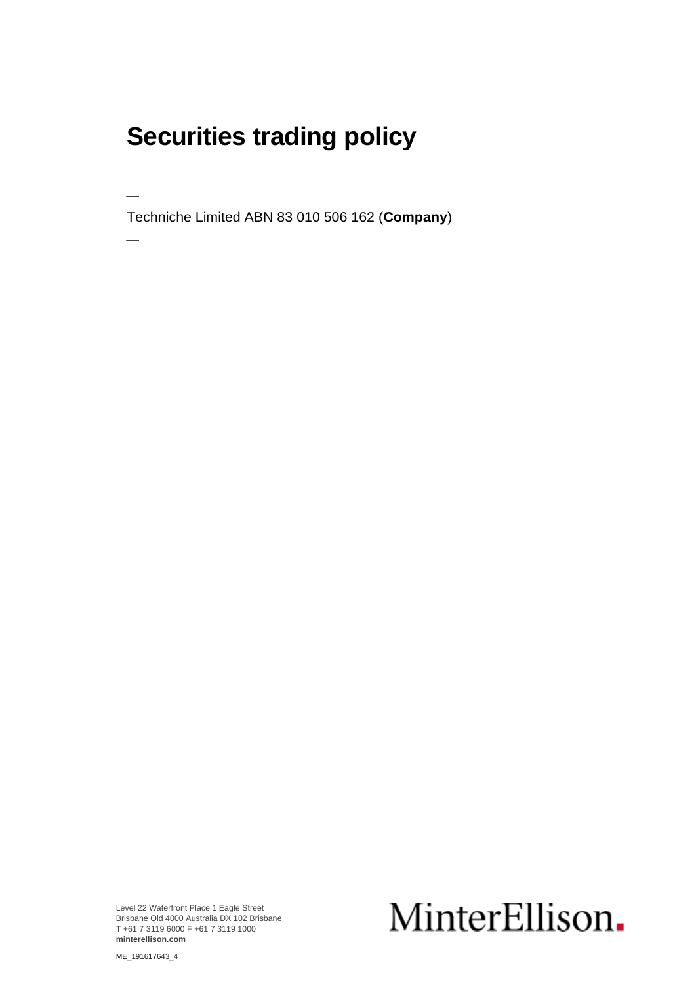### **Securities trading policy**

⎯

 $\overline{\phantom{a}}$ 

Techniche Limited ABN 83 010 506 162 (**Company**)

Level 22 Waterfront Place 1 Eagle Street Brisbane Qld 4000 Australia DX 102 Brisbane T +61 7 3119 6000 F +61 7 3119 1000 **minterellison.com**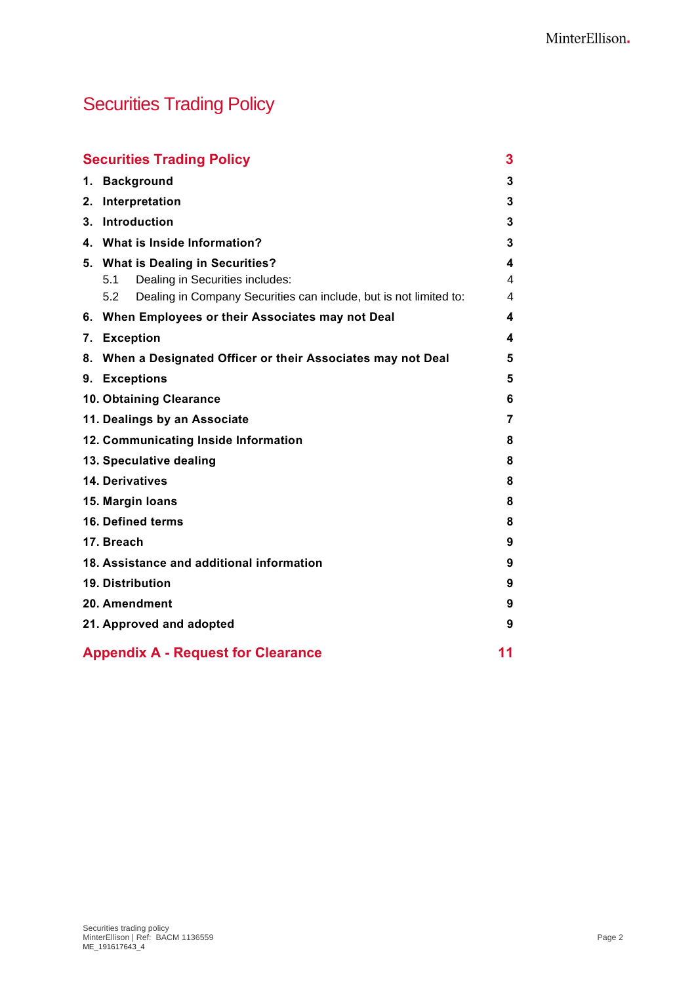### Securities Trading Policy

|    | <b>Securities Trading Policy</b>                                         |    |
|----|--------------------------------------------------------------------------|----|
| 1. | <b>Background</b>                                                        | 3  |
| 2. | Interpretation                                                           | 3  |
| 3. | <b>Introduction</b>                                                      | 3  |
|    | 4. What is Inside Information?                                           | 3  |
|    | 5. What is Dealing in Securities?                                        | 4  |
|    | Dealing in Securities includes:<br>5.1                                   | 4  |
|    | Dealing in Company Securities can include, but is not limited to:<br>5.2 | 4  |
|    | 6. When Employees or their Associates may not Deal                       | 4  |
|    | 7. Exception                                                             | 4  |
| 8. | When a Designated Officer or their Associates may not Deal               | 5  |
|    | 9. Exceptions                                                            | 5  |
|    | 10. Obtaining Clearance                                                  | 6  |
|    | 11. Dealings by an Associate                                             | 7  |
|    | 12. Communicating Inside Information                                     | 8  |
|    | 13. Speculative dealing                                                  | 8  |
|    | <b>14. Derivatives</b>                                                   | 8  |
|    | 15. Margin Ioans                                                         | 8  |
|    | <b>16. Defined terms</b>                                                 | 8  |
|    | 17. Breach                                                               | 9  |
|    | 18. Assistance and additional information                                | 9  |
|    | <b>19. Distribution</b>                                                  | 9  |
|    | 20. Amendment                                                            |    |
|    | 21. Approved and adopted                                                 | 9  |
|    | <b>Appendix A - Request for Clearance</b>                                | 11 |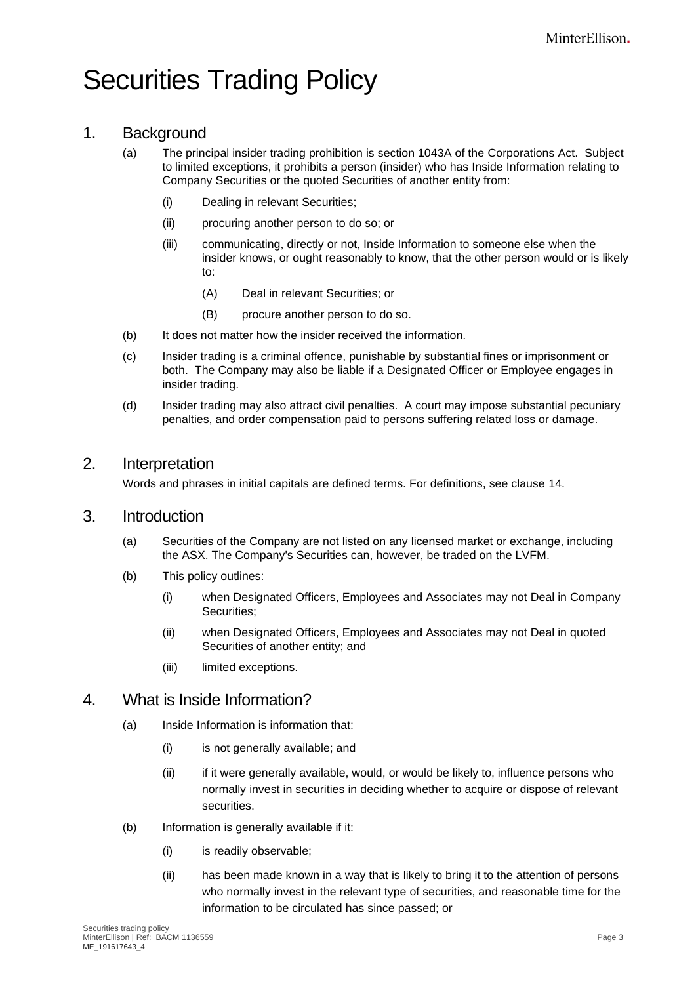## Securities Trading Policy

#### 1. Background

- (a) The principal insider trading prohibition is section 1043A of the Corporations Act. Subject to limited exceptions, it prohibits a person (insider) who has Inside Information relating to Company Securities or the quoted Securities of another entity from:
	- (i) Dealing in relevant Securities;
	- (ii) procuring another person to do so; or
	- (iii) communicating, directly or not, Inside Information to someone else when the insider knows, or ought reasonably to know, that the other person would or is likely to:
		- (A) Deal in relevant Securities; or
		- (B) procure another person to do so.
- (b) It does not matter how the insider received the information.
- (c) Insider trading is a criminal offence, punishable by substantial fines or imprisonment or both. The Company may also be liable if a Designated Officer or Employee engages in insider trading.
- (d) Insider trading may also attract civil penalties. A court may impose substantial pecuniary penalties, and order compensation paid to persons suffering related loss or damage.

#### 2. Interpretation

Words and phrases in initial capitals are defined terms. For definitions, see clause [14.](#page-7-0)

#### 3. Introduction

- (a) Securities of the Company are not listed on any licensed market or exchange, including the ASX. The Company's Securities can, however, be traded on the LVFM.
- (b) This policy outlines:
	- (i) when Designated Officers, Employees and Associates may not Deal in Company Securities;
	- (ii) when Designated Officers, Employees and Associates may not Deal in quoted Securities of another entity; and
	- (iii) limited exceptions.

#### <span id="page-2-0"></span>4. What is Inside Information?

- (a) Inside Information is information that:
	- (i) is not generally available; and
	- (ii) if it were generally available, would, or would be likely to, influence persons who normally invest in securities in deciding whether to acquire or dispose of relevant securities.
- (b) Information is generally available if it:
	- (i) is readily observable;
	- (ii) has been made known in a way that is likely to bring it to the attention of persons who normally invest in the relevant type of securities, and reasonable time for the information to be circulated has since passed; or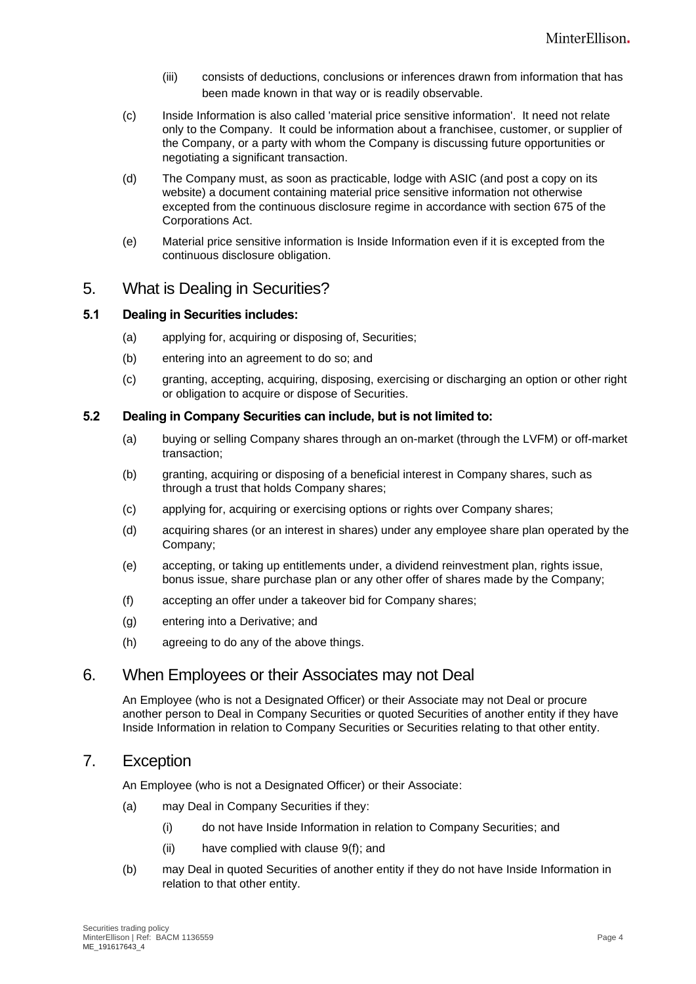- (iii) consists of deductions, conclusions or inferences drawn from information that has been made known in that way or is readily observable.
- (c) Inside Information is also called 'material price sensitive information'. It need not relate only to the Company. It could be information about a franchisee, customer, or supplier of the Company, or a party with whom the Company is discussing future opportunities or negotiating a significant transaction.
- <span id="page-3-0"></span>(d) The Company must, as soon as practicable, lodge with ASIC (and post a copy on its website) a document containing material price sensitive information not otherwise excepted from the continuous disclosure regime in accordance with section 675 of the Corporations Act.
- (e) Material price sensitive information is Inside Information even if it is excepted from the continuous disclosure obligation.

#### <span id="page-3-2"></span>5. What is Dealing in Securities?

#### <span id="page-3-1"></span>**5.1 Dealing in Securities includes:**

- (a) applying for, acquiring or disposing of, Securities;
- (b) entering into an agreement to do so; and
- (c) granting, accepting, acquiring, disposing, exercising or discharging an option or other right or obligation to acquire or dispose of Securities.

#### **5.2 Dealing in Company Securities can include, but is not limited to:**

- (a) buying or selling Company shares through an on-market (through the LVFM) or off-market transaction;
- (b) granting, acquiring or disposing of a beneficial interest in Company shares, such as through a trust that holds Company shares;
- (c) applying for, acquiring or exercising options or rights over Company shares;
- (d) acquiring shares (or an interest in shares) under any employee share plan operated by the Company;
- (e) accepting, or taking up entitlements under, a dividend reinvestment plan, rights issue, bonus issue, share purchase plan or any other offer of shares made by the Company;
- (f) accepting an offer under a takeover bid for Company shares;
- (g) entering into a Derivative; and
- (h) agreeing to do any of the above things.

#### 6. When Employees or their Associates may not Deal

An Employee (who is not a Designated Officer) or their Associate may not Deal or procure another person to Deal in Company Securities or quoted Securities of another entity if they have Inside Information in relation to Company Securities or Securities relating to that other entity.

#### 7. Exception

An Employee (who is not a Designated Officer) or their Associate:

- (a) may Deal in Company Securities if they:
	- (i) do not have Inside Information in relation to Company Securities; and
	- (ii) have complied with clause [9\(f\);](#page-5-0) and
- (b) may Deal in quoted Securities of another entity if they do not have Inside Information in relation to that other entity.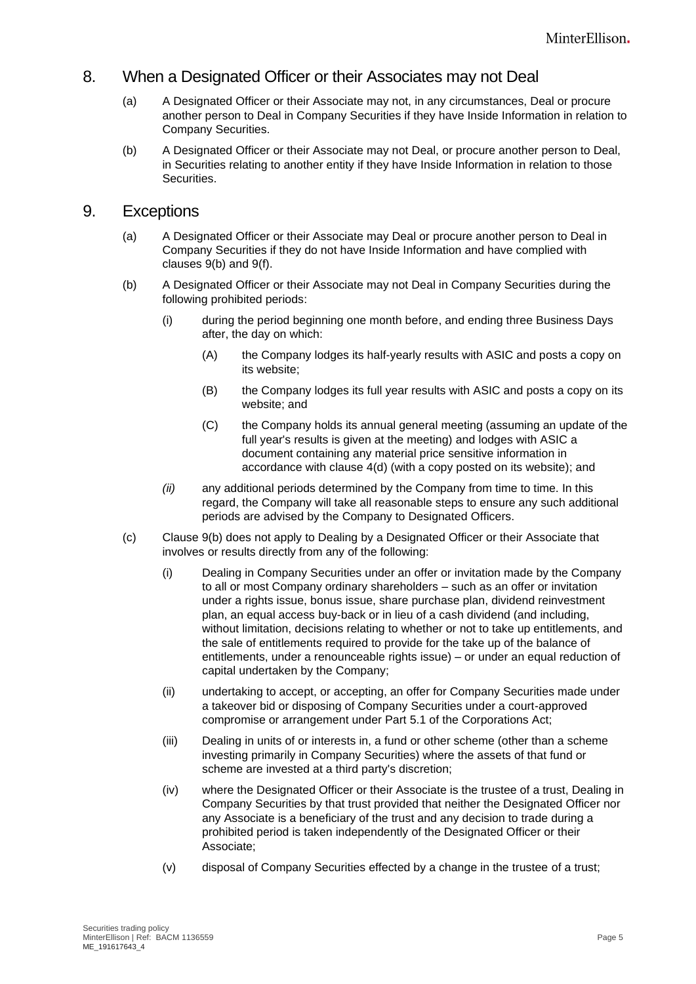#### 8. When a Designated Officer or their Associates may not Deal

- (a) A Designated Officer or their Associate may not, in any circumstances, Deal or procure another person to Deal in Company Securities if they have Inside Information in relation to Company Securities.
- (b) A Designated Officer or their Associate may not Deal, or procure another person to Deal, in Securities relating to another entity if they have Inside Information in relation to those Securities.

#### <span id="page-4-1"></span>9. Exceptions

- (a) A Designated Officer or their Associate may Deal or procure another person to Deal in Company Securities if they do not have Inside Information and have complied with clauses [9\(b\)](#page-4-0) and [9](#page-4-1)[\(f\).](#page-5-0)
- <span id="page-4-0"></span>(b) A Designated Officer or their Associate may not Deal in Company Securities during the following prohibited periods:
	- (i) during the period beginning one month before, and ending three Business Days after, the day on which:
		- (A) the Company lodges its half-yearly results with ASIC and posts a copy on its website;
		- (B) the Company lodges its full year results with ASIC and posts a copy on its website; and
		- (C) the Company holds its annual general meeting (assuming an update of the full year's results is given at the meeting) and lodges with ASIC a document containing any material price sensitive information in accordance with clause [4\(d\)](#page-3-0) (with a copy posted on its website); and
	- *(ii)* any additional periods determined by the Company from time to time. In this regard, the Company will take all reasonable steps to ensure any such additional periods are advised by the Company to Designated Officers.
- (c) Clause [9\(b\)](#page-4-0) does not apply to Dealing by a Designated Officer or their Associate that involves or results directly from any of the following:
	- (i) Dealing in Company Securities under an offer or invitation made by the Company to all or most Company ordinary shareholders – such as an offer or invitation under a rights issue, bonus issue, share purchase plan, dividend reinvestment plan, an equal access buy-back or in lieu of a cash dividend (and including, without limitation, decisions relating to whether or not to take up entitlements, and the sale of entitlements required to provide for the take up of the balance of entitlements, under a renounceable rights issue) – or under an equal reduction of capital undertaken by the Company;
	- (ii) undertaking to accept, or accepting, an offer for Company Securities made under a takeover bid or disposing of Company Securities under a court-approved compromise or arrangement under Part [5.1](#page-3-1) of the Corporations Act;
	- (iii) Dealing in units of or interests in, a fund or other scheme (other than a scheme investing primarily in Company Securities) where the assets of that fund or scheme are invested at a third party's discretion;
	- (iv) where the Designated Officer or their Associate is the trustee of a trust, Dealing in Company Securities by that trust provided that neither the Designated Officer nor any Associate is a beneficiary of the trust and any decision to trade during a prohibited period is taken independently of the Designated Officer or their Associate;
	- (v) disposal of Company Securities effected by a change in the trustee of a trust;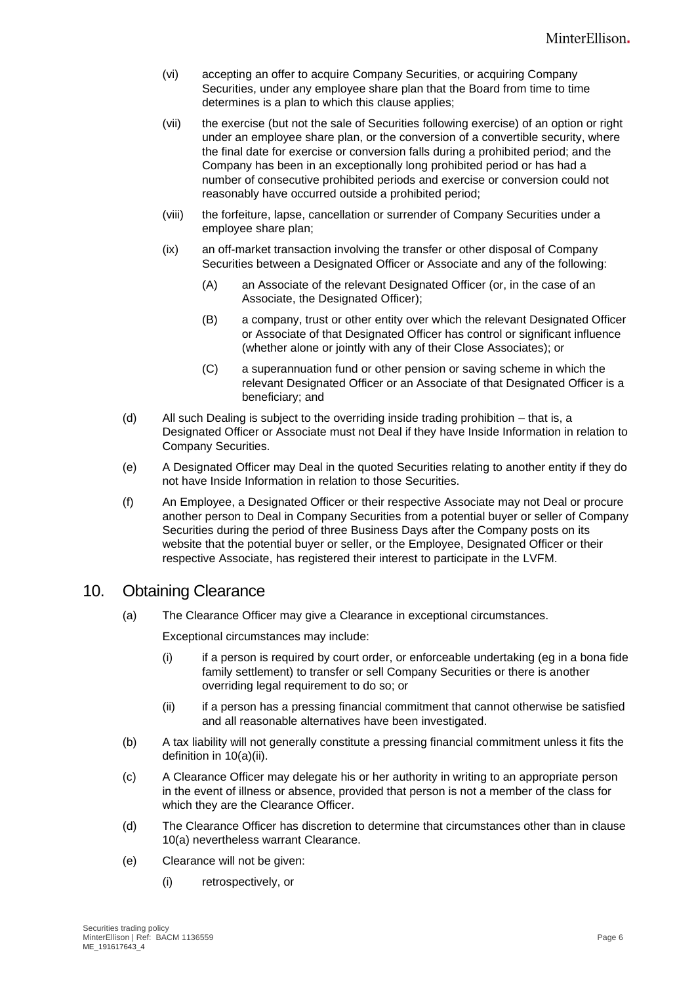- (vi) accepting an offer to acquire Company Securities, or acquiring Company Securities, under any employee share plan that the Board from time to time determines is a plan to which this clause applies;
- (vii) the exercise (but not the sale of Securities following exercise) of an option or right under an employee share plan, or the conversion of a convertible security, where the final date for exercise or conversion falls during a prohibited period; and the Company has been in an exceptionally long prohibited period or has had a number of consecutive prohibited periods and exercise or conversion could not reasonably have occurred outside a prohibited period;
- (viii) the forfeiture, lapse, cancellation or surrender of Company Securities under a employee share plan;
- (ix) an off-market transaction involving the transfer or other disposal of Company Securities between a Designated Officer or Associate and any of the following:
	- (A) an Associate of the relevant Designated Officer (or, in the case of an Associate, the Designated Officer);
	- (B) a company, trust or other entity over which the relevant Designated Officer or Associate of that Designated Officer has control or significant influence (whether alone or jointly with any of their Close Associates); or
	- (C) a superannuation fund or other pension or saving scheme in which the relevant Designated Officer or an Associate of that Designated Officer is a beneficiary; and
- (d) All such Dealing is subject to the overriding inside trading prohibition that is, a Designated Officer or Associate must not Deal if they have Inside Information in relation to Company Securities.
- (e) A Designated Officer may Deal in the quoted Securities relating to another entity if they do not have Inside Information in relation to those Securities.
- <span id="page-5-0"></span>(f) An Employee, a Designated Officer or their respective Associate may not Deal or procure another person to Deal in Company Securities from a potential buyer or seller of Company Securities during the period of three Business Days after the Company posts on its website that the potential buyer or seller, or the Employee, Designated Officer or their respective Associate, has registered their interest to participate in the LVFM.

#### <span id="page-5-3"></span><span id="page-5-2"></span>10. Obtaining Clearance

(a) The Clearance Officer may give a Clearance in exceptional circumstances.

Exceptional circumstances may include:

- (i) if a person is required by court order, or enforceable undertaking (eg in a bona fide family settlement) to transfer or sell Company Securities or there is another overriding legal requirement to do so; or
- (ii) if a person has a pressing financial commitment that cannot otherwise be satisfied and all reasonable alternatives have been investigated.
- <span id="page-5-1"></span>(b) A tax liability will not generally constitute a pressing financial commitment unless it fits the definition in [10\(a\)\(ii\).](#page-5-1)
- (c) A Clearance Officer may delegate his or her authority in writing to an appropriate person in the event of illness or absence, provided that person is not a member of the class for which they are the Clearance Officer.
- (d) The Clearance Officer has discretion to determine that circumstances other than in clause [10\(a\)](#page-5-2) nevertheless warrant Clearance.
- (e) Clearance will not be given:
	- (i) retrospectively, or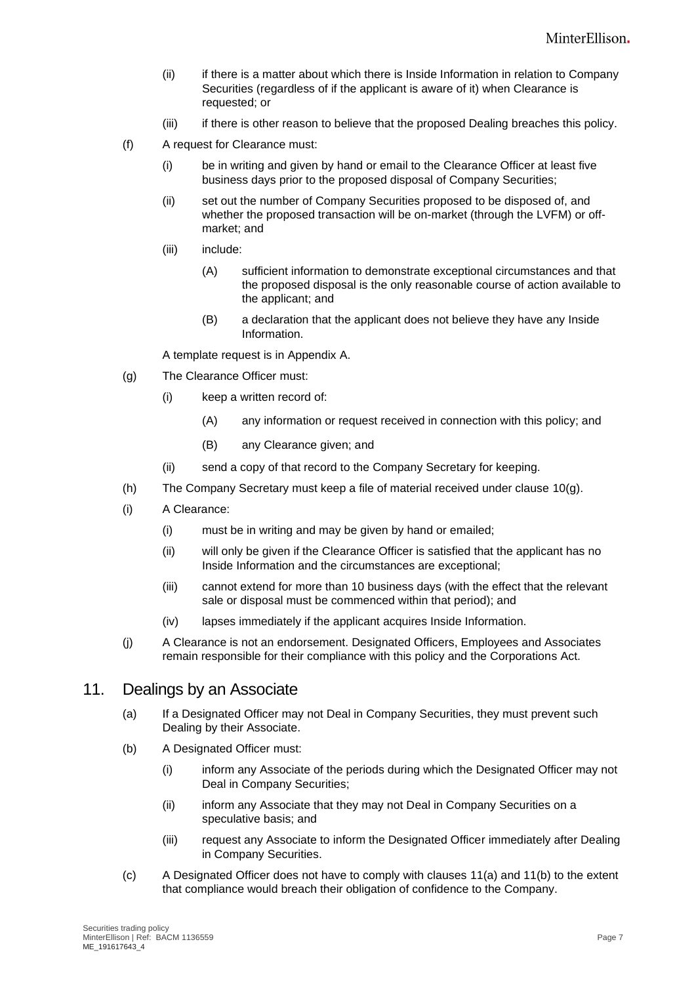- (ii) if there is a matter about which there is Inside Information in relation to Company Securities (regardless of if the applicant is aware of it) when Clearance is requested; or
- (iii) if there is other reason to believe that the proposed Dealing breaches this policy.
- (f) A request for Clearance must:
	- (i) be in writing and given by hand or email to the Clearance Officer at least five business days prior to the proposed disposal of Company Securities;
	- (ii) set out the number of Company Securities proposed to be disposed of, and whether the proposed transaction will be on-market (through the LVFM) or offmarket; and
	- (iii) include:
		- (A) sufficient information to demonstrate exceptional circumstances and that the proposed disposal is the only reasonable course of action available to the applicant; and
		- (B) a declaration that the applicant does not believe they have any Inside Information.

A template request is in Appendix A.

- <span id="page-6-0"></span>(g) The Clearance Officer must:
	- (i) keep a written record of:
		- (A) any information or request received in connection with this policy; and
		- (B) any Clearance given; and
	- (ii) send a copy of that record to the Company Secretary for keeping.
- (h) The Company Secretary must keep a file of material received under clause [10\(g\).](#page-6-0)
- (i) A Clearance:
	- (i) must be in writing and may be given by hand or emailed;
	- (ii) will only be given if the Clearance Officer is satisfied that the applicant has no Inside Information and the circumstances are exceptional;
	- (iii) cannot extend for more than 10 business days (with the effect that the relevant sale or disposal must be commenced within that period); and
	- (iv) lapses immediately if the applicant acquires Inside Information.
- (j) A Clearance is not an endorsement. Designated Officers, Employees and Associates remain responsible for their compliance with this policy and the Corporations Act.

#### <span id="page-6-1"></span>11. Dealings by an Associate

- (a) If a Designated Officer may not Deal in Company Securities, they must prevent such Dealing by their Associate.
- <span id="page-6-2"></span>(b) A Designated Officer must:
	- (i) inform any Associate of the periods during which the Designated Officer may not Deal in Company Securities;
	- (ii) inform any Associate that they may not Deal in Company Securities on a speculative basis; and
	- (iii) request any Associate to inform the Designated Officer immediately after Dealing in Company Securities.
- (c) A Designated Officer does not have to comply with clauses [11\(a\)](#page-6-1) and [11\(b\)](#page-6-2) to the extent that compliance would breach their obligation of confidence to the Company.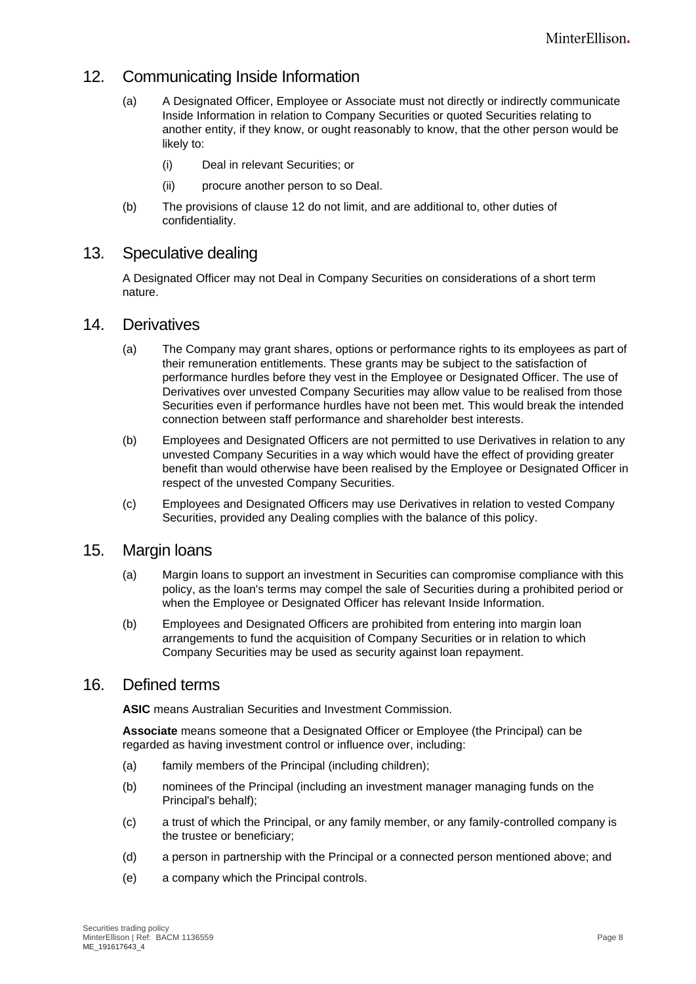#### <span id="page-7-1"></span>12. Communicating Inside Information

- (a) A Designated Officer, Employee or Associate must not directly or indirectly communicate Inside Information in relation to Company Securities or quoted Securities relating to another entity, if they know, or ought reasonably to know, that the other person would be likely to:
	- (i) Deal in relevant Securities; or
	- (ii) procure another person to so Deal.
- (b) The provisions of clause [12](#page-7-1) do not limit, and are additional to, other duties of confidentiality.

#### 13. Speculative dealing

A Designated Officer may not Deal in Company Securities on considerations of a short term nature.

#### <span id="page-7-0"></span>14. Derivatives

- (a) The Company may grant shares, options or performance rights to its employees as part of their remuneration entitlements. These grants may be subject to the satisfaction of performance hurdles before they vest in the Employee or Designated Officer. The use of Derivatives over unvested Company Securities may allow value to be realised from those Securities even if performance hurdles have not been met. This would break the intended connection between staff performance and shareholder best interests.
- (b) Employees and Designated Officers are not permitted to use Derivatives in relation to any unvested Company Securities in a way which would have the effect of providing greater benefit than would otherwise have been realised by the Employee or Designated Officer in respect of the unvested Company Securities.
- (c) Employees and Designated Officers may use Derivatives in relation to vested Company Securities, provided any Dealing complies with the balance of this policy.

#### 15. Margin loans

- (a) Margin loans to support an investment in Securities can compromise compliance with this policy, as the loan's terms may compel the sale of Securities during a prohibited period or when the Employee or Designated Officer has relevant Inside Information.
- (b) Employees and Designated Officers are prohibited from entering into margin loan arrangements to fund the acquisition of Company Securities or in relation to which Company Securities may be used as security against loan repayment.

#### 16. Defined terms

**ASIC** means Australian Securities and Investment Commission.

**Associate** means someone that a Designated Officer or Employee (the Principal) can be regarded as having investment control or influence over, including:

- (a) family members of the Principal (including children);
- (b) nominees of the Principal (including an investment manager managing funds on the Principal's behalf);
- (c) a trust of which the Principal, or any family member, or any family-controlled company is the trustee or beneficiary;
- (d) a person in partnership with the Principal or a connected person mentioned above; and
- (e) a company which the Principal controls.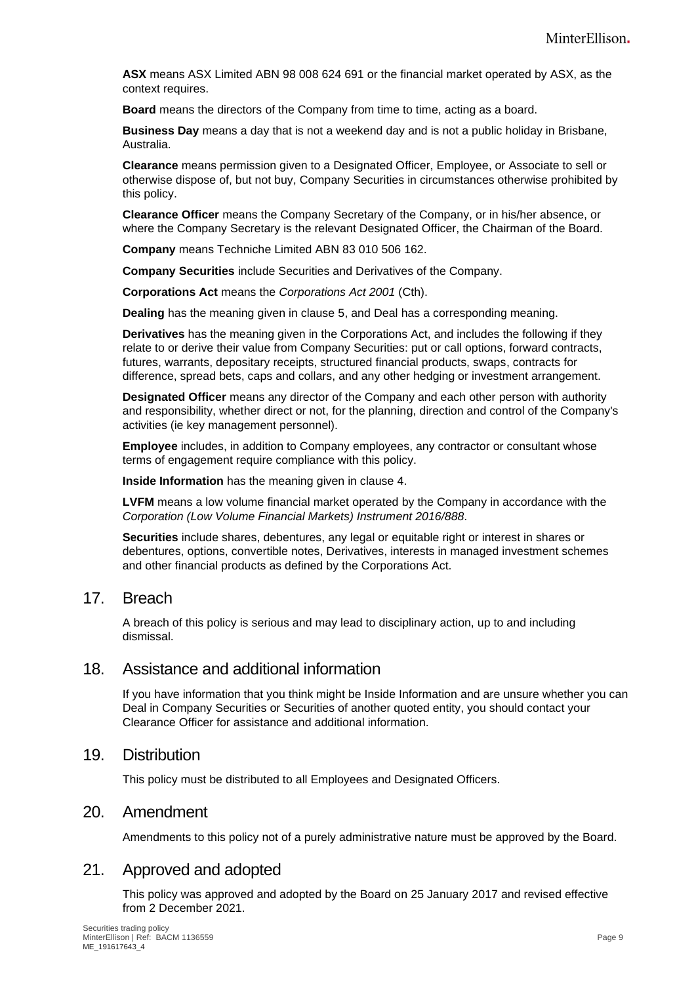**ASX** means ASX Limited ABN 98 008 624 691 or the financial market operated by ASX, as the context requires.

**Board** means the directors of the Company from time to time, acting as a board.

**Business Day** means a day that is not a weekend day and is not a public holiday in Brisbane, Australia.

**Clearance** means permission given to a Designated Officer, Employee, or Associate to sell or otherwise dispose of, but not buy, Company Securities in circumstances otherwise prohibited by this policy.

**Clearance Officer** means the Company Secretary of the Company, or in his/her absence, or where the Company Secretary is the relevant Designated Officer, the Chairman of the Board.

**Company** means Techniche Limited ABN 83 010 506 162.

**Company Securities** include Securities and Derivatives of the Company.

**Corporations Act** means the *Corporations Act 2001* (Cth).

**Dealing** has the meaning given in clause [5,](#page-3-2) and Deal has a corresponding meaning.

**Derivatives** has the meaning given in the Corporations Act, and includes the following if they relate to or derive their value from Company Securities: put or call options, forward contracts, futures, warrants, depositary receipts, structured financial products, swaps, contracts for difference, spread bets, caps and collars, and any other hedging or investment arrangement.

**Designated Officer** means any director of the Company and each other person with authority and responsibility, whether direct or not, for the planning, direction and control of the Company's activities (ie key management personnel).

**Employee** includes, in addition to Company employees, any contractor or consultant whose terms of engagement require compliance with this policy.

**Inside Information** has the meaning given in clause [4.](#page-2-0)

**LVFM** means a low volume financial market operated by the Company in accordance with the *Corporation (Low Volume Financial Markets) Instrument 2016/888*.

**Securities** include shares, debentures, any legal or equitable right or interest in shares or debentures, options, convertible notes, Derivatives, interests in managed investment schemes and other financial products as defined by the Corporations Act.

#### 17. Breach

A breach of this policy is serious and may lead to disciplinary action, up to and including dismissal.

#### 18. Assistance and additional information

If you have information that you think might be Inside Information and are unsure whether you can Deal in Company Securities or Securities of another quoted entity, you should contact your Clearance Officer for assistance and additional information.

#### 19. Distribution

This policy must be distributed to all Employees and Designated Officers.

#### 20. Amendment

Amendments to this policy not of a purely administrative nature must be approved by the Board.

#### 21. Approved and adopted

This policy was approved and adopted by the Board on 25 January 2017 and revised effective from 2 December 2021.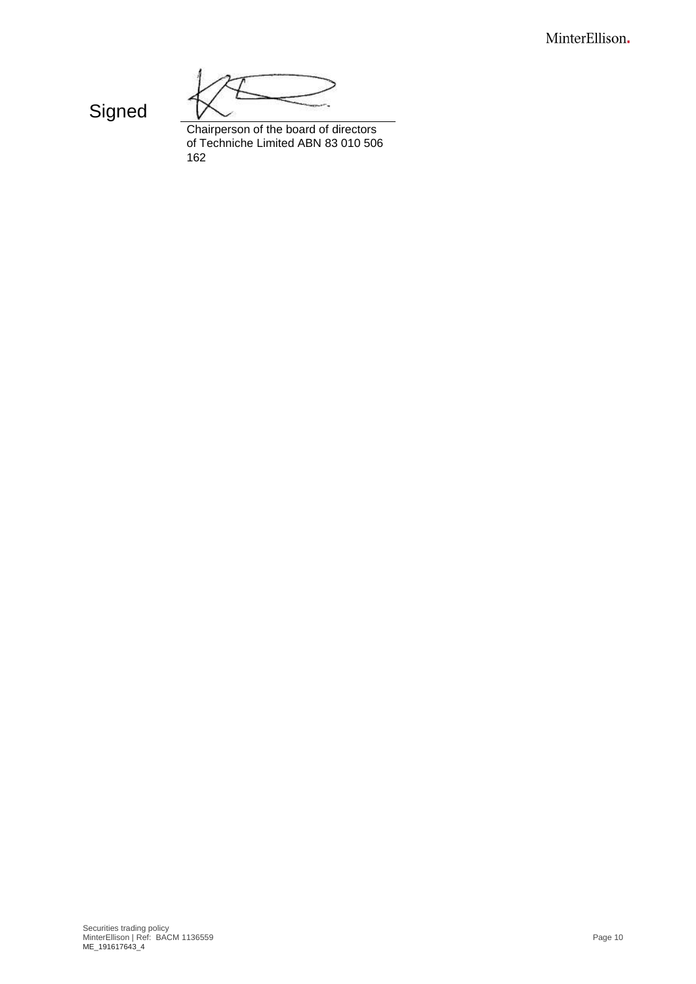MinterEllison.

**Signed** 

Chairperson of the board of directors of Techniche Limited ABN 83 010 506 162